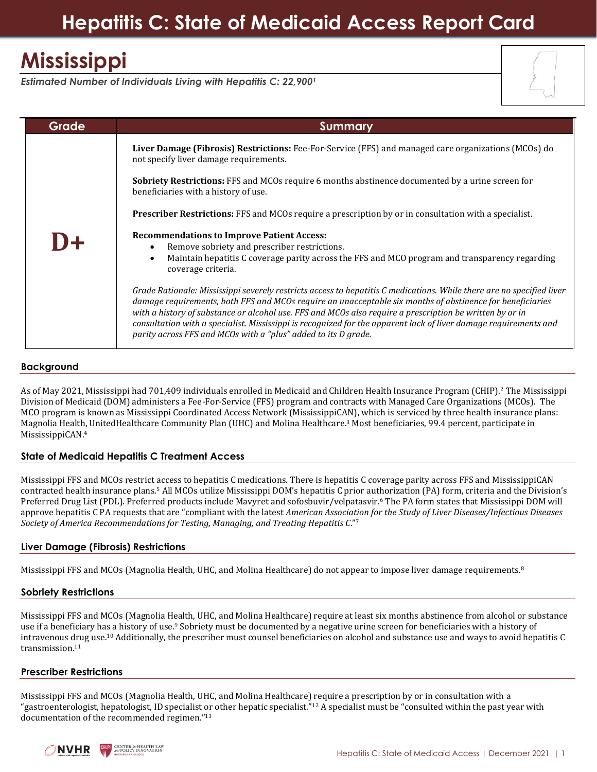# **Hepatitis C: State of Medicaid Access Report Card**

# **Mississippi**

*Estimated Number of Individuals Living with Hepatitis C: 22,900<sup>1</sup>*

| <b>Grade</b> | <b>Summary</b>                                                                                                                                                                                                                                                                                                                                                                                                                                                                                                                       |
|--------------|--------------------------------------------------------------------------------------------------------------------------------------------------------------------------------------------------------------------------------------------------------------------------------------------------------------------------------------------------------------------------------------------------------------------------------------------------------------------------------------------------------------------------------------|
|              | Liver Damage (Fibrosis) Restrictions: Fee-For-Service (FFS) and managed care organizations (MCOs) do<br>not specify liver damage requirements.                                                                                                                                                                                                                                                                                                                                                                                       |
|              | <b>Sobriety Restrictions:</b> FFS and MCOs require 6 months abstinence documented by a urine screen for<br>beneficiaries with a history of use.                                                                                                                                                                                                                                                                                                                                                                                      |
|              | <b>Prescriber Restrictions:</b> FFS and MCOs require a prescription by or in consultation with a specialist.                                                                                                                                                                                                                                                                                                                                                                                                                         |
|              | <b>Recommendations to Improve Patient Access:</b><br>Remove sobriety and prescriber restrictions.<br>Maintain hepatitis C coverage parity across the FFS and MCO program and transparency regarding<br>$\bullet$<br>coverage criteria.                                                                                                                                                                                                                                                                                               |
|              | Grade Rationale: Mississippi severely restricts access to hepatitis C medications. While there are no specified liver<br>damage requirements, both FFS and MCOs require an unacceptable six months of abstinence for beneficiaries<br>with a history of substance or alcohol use. FFS and MCOs also require a prescription be written by or in<br>consultation with a specialist. Mississippi is recognized for the apparent lack of liver damage requirements and<br>parity across FFS and MCOs with a "plus" added to its D grade. |

### **Background**

As of May 2021, Mississippi had 701,409 individuals enrolled in Medicaid and Children Health Insurance Program (CHIP).<sup>2</sup> The Mississippi Division of Medicaid (DOM) administers a Fee-For-Service (FFS) program and contracts with Managed Care Organizations (MCOs). The MCO program is known as Mississippi Coordinated Access Network (MississippiCAN), which is serviced by three health insurance plans: Magnolia Health, UnitedHealthcare Community Plan (UHC) and Molina Healthcare. <sup>3</sup> Most beneficiaries, 99.4 percent, participate in MississippiCAN. 4

### **State of Medicaid Hepatitis C Treatment Access**

Mississippi FFS and MCOs restrict access to hepatitis C medications. There is hepatitis C coverage parity across FFS and MississippiCAN contracted health insurance plans. <sup>5</sup> All MCOs utilize Mississippi DOM's hepatitis C prior authorization (PA) form, criteria and the Division's Preferred Drug List (PDL). Preferred products include Mavyret and sofosbuvir/velpatasvir. <sup>6</sup> The PA form states that Mississippi DOM will approve hepatitis C PA requests that are "compliant with the latest *American Association for the Study of Liver Diseases/Infectious Diseases Society of America Recommendations for Testing, Managing, and Treating Hepatitis C*."<sup>7</sup>

### **Liver Damage (Fibrosis) Restrictions**

Mississippi FFS and MCOs (Magnolia Health, UHC, and Molina Healthcare) do not appear to impose liver damage requirements.<sup>8</sup>

## **Sobriety Restrictions**

Mississippi FFS and MCOs (Magnolia Health, UHC, and Molina Healthcare) require at least six months abstinence from alcohol or substance use if a beneficiary has a history of use.<sup>9</sup> Sobriety must be documented by a negative urine screen for beneficiaries with a history of intravenous drug use. <sup>10</sup> Additionally, the prescriber must counsel beneficiaries on alcohol and substance use and ways to avoid hepatitis C transmission.<sup>11</sup>

### **Prescriber Restrictions**

Mississippi FFS and MCOs (Magnolia Health, UHC, and Molina Healthcare) require a prescription by or in consultation with a "gastroenterologist, hepatologist, ID specialist or other hepatic specialist."<sup>12</sup> A specialist must be "consulted within the past year with documentation of the recommended regimen."13